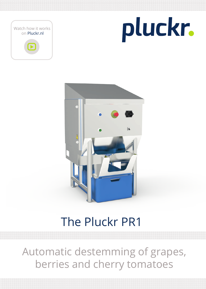





## The Pluckr PR1

Automatic destemming of grapes, berries and cherry tomatoes